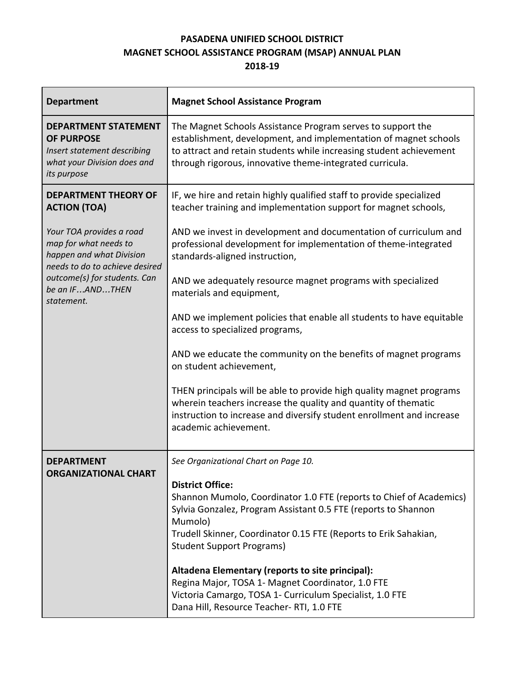# **PASADENA UNIFIED SCHOOL DISTRICT MAGNET SCHOOL ASSISTANCE PROGRAM (MSAP) ANNUAL PLAN 2018-19**

| <b>Department</b>                                                                                                             | <b>Magnet School Assistance Program</b>                                                                                                                                                                                                                                             |  |  |  |
|-------------------------------------------------------------------------------------------------------------------------------|-------------------------------------------------------------------------------------------------------------------------------------------------------------------------------------------------------------------------------------------------------------------------------------|--|--|--|
| <b>DEPARTMENT STATEMENT</b><br><b>OF PURPOSE</b><br>Insert statement describing<br>what your Division does and<br>its purpose | The Magnet Schools Assistance Program serves to support the<br>establishment, development, and implementation of magnet schools<br>to attract and retain students while increasing student achievement<br>through rigorous, innovative theme-integrated curricula.                  |  |  |  |
| <b>DEPARTMENT THEORY OF</b><br><b>ACTION (TOA)</b>                                                                            | IF, we hire and retain highly qualified staff to provide specialized<br>teacher training and implementation support for magnet schools,                                                                                                                                             |  |  |  |
| Your TOA provides a road<br>map for what needs to<br>happen and what Division<br>needs to do to achieve desired               | AND we invest in development and documentation of curriculum and<br>professional development for implementation of theme-integrated<br>standards-aligned instruction,                                                                                                               |  |  |  |
| outcome(s) for students. Can<br>be an IFANDTHEN<br>statement.                                                                 | AND we adequately resource magnet programs with specialized<br>materials and equipment,                                                                                                                                                                                             |  |  |  |
|                                                                                                                               | AND we implement policies that enable all students to have equitable<br>access to specialized programs,                                                                                                                                                                             |  |  |  |
|                                                                                                                               | AND we educate the community on the benefits of magnet programs<br>on student achievement,                                                                                                                                                                                          |  |  |  |
|                                                                                                                               | THEN principals will be able to provide high quality magnet programs<br>wherein teachers increase the quality and quantity of thematic<br>instruction to increase and diversify student enrollment and increase<br>academic achievement.                                            |  |  |  |
| <b>DEPARTMENT</b>                                                                                                             | See Organizational Chart on Page 10.                                                                                                                                                                                                                                                |  |  |  |
| <b>ORGANIZATIONAL CHART</b>                                                                                                   | <b>District Office:</b><br>Shannon Mumolo, Coordinator 1.0 FTE (reports to Chief of Academics)<br>Sylvia Gonzalez, Program Assistant 0.5 FTE (reports to Shannon<br>Mumolo)<br>Trudell Skinner, Coordinator 0.15 FTE (Reports to Erik Sahakian,<br><b>Student Support Programs)</b> |  |  |  |
|                                                                                                                               | Altadena Elementary (reports to site principal):<br>Regina Major, TOSA 1- Magnet Coordinator, 1.0 FTE<br>Victoria Camargo, TOSA 1- Curriculum Specialist, 1.0 FTE<br>Dana Hill, Resource Teacher-RTI, 1.0 FTE                                                                       |  |  |  |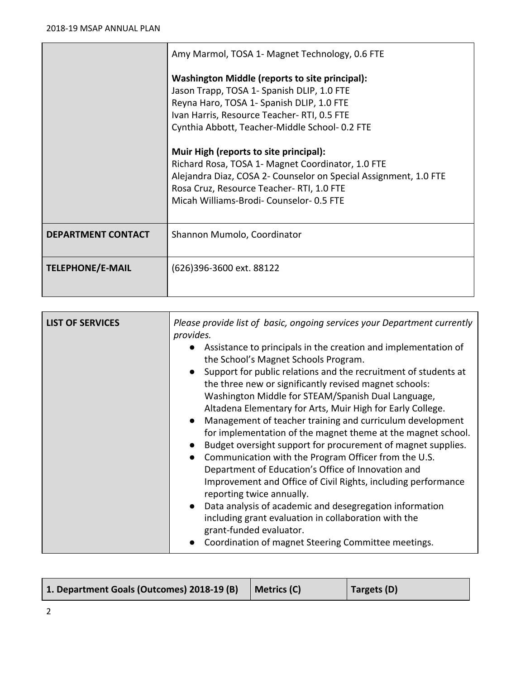|                           | Amy Marmol, TOSA 1- Magnet Technology, 0.6 FTE                                                                                                                                                                                                        |  |  |  |
|---------------------------|-------------------------------------------------------------------------------------------------------------------------------------------------------------------------------------------------------------------------------------------------------|--|--|--|
|                           | Washington Middle (reports to site principal):<br>Jason Trapp, TOSA 1- Spanish DLIP, 1.0 FTE<br>Reyna Haro, TOSA 1- Spanish DLIP, 1.0 FTE<br>Ivan Harris, Resource Teacher-RTI, 0.5 FTE<br>Cynthia Abbott, Teacher-Middle School- 0.2 FTE             |  |  |  |
|                           | Muir High (reports to site principal):<br>Richard Rosa, TOSA 1- Magnet Coordinator, 1.0 FTE<br>Alejandra Diaz, COSA 2- Counselor on Special Assignment, 1.0 FTE<br>Rosa Cruz, Resource Teacher-RTI, 1.0 FTE<br>Micah Williams-Brodi-Counselor-0.5 FTE |  |  |  |
| <b>DEPARTMENT CONTACT</b> | Shannon Mumolo, Coordinator                                                                                                                                                                                                                           |  |  |  |
| <b>TELEPHONE/E-MAIL</b>   | (626)396-3600 ext. 88122                                                                                                                                                                                                                              |  |  |  |

| Altadena Elementary for Arts, Muir High for Early College.<br>Management of teacher training and curriculum development<br>for implementation of the magnet theme at the magnet school.<br>Budget oversight support for procurement of magnet supplies.<br>Communication with the Program Officer from the U.S.<br>$\bullet$<br>Department of Education's Office of Innovation and<br>Improvement and Office of Civil Rights, including performance<br>reporting twice annually.<br>Data analysis of academic and desegregation information<br>$\bullet$<br>including grant evaluation in collaboration with the<br>grant-funded evaluator.<br>Coordination of magnet Steering Committee meetings. | <b>LIST OF SERVICES</b> | Please provide list of basic, ongoing services your Department currently<br>provides.<br>Assistance to principals in the creation and implementation of<br>the School's Magnet Schools Program.<br>Support for public relations and the recruitment of students at<br>the three new or significantly revised magnet schools:<br>Washington Middle for STEAM/Spanish Dual Language, |
|----------------------------------------------------------------------------------------------------------------------------------------------------------------------------------------------------------------------------------------------------------------------------------------------------------------------------------------------------------------------------------------------------------------------------------------------------------------------------------------------------------------------------------------------------------------------------------------------------------------------------------------------------------------------------------------------------|-------------------------|------------------------------------------------------------------------------------------------------------------------------------------------------------------------------------------------------------------------------------------------------------------------------------------------------------------------------------------------------------------------------------|
|----------------------------------------------------------------------------------------------------------------------------------------------------------------------------------------------------------------------------------------------------------------------------------------------------------------------------------------------------------------------------------------------------------------------------------------------------------------------------------------------------------------------------------------------------------------------------------------------------------------------------------------------------------------------------------------------------|-------------------------|------------------------------------------------------------------------------------------------------------------------------------------------------------------------------------------------------------------------------------------------------------------------------------------------------------------------------------------------------------------------------------|

| 1. Department Goals (Outcomes) 2018-19 (B) | Metrics (C) | Targets (D) |
|--------------------------------------------|-------------|-------------|
|--------------------------------------------|-------------|-------------|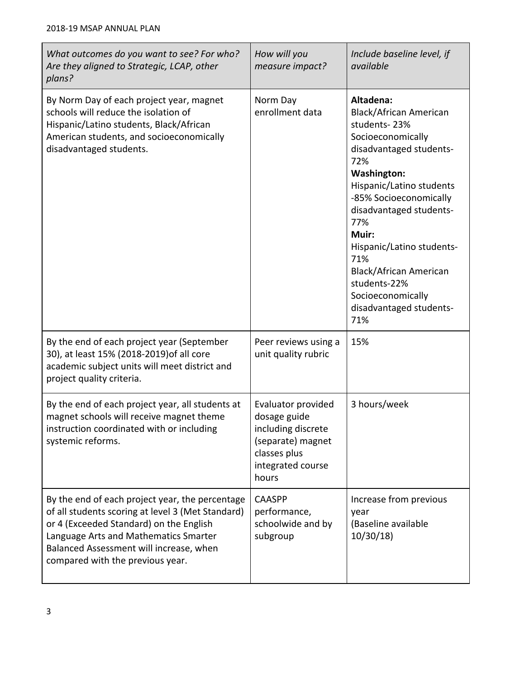| What outcomes do you want to see? For who?<br>Are they aligned to Strategic, LCAP, other<br>plans?                                                                                                                                                                      | How will you<br>measure impact?                                                                                             | Include baseline level, if<br>available                                                                                                                                                                                                                                                                                                                                              |  |
|-------------------------------------------------------------------------------------------------------------------------------------------------------------------------------------------------------------------------------------------------------------------------|-----------------------------------------------------------------------------------------------------------------------------|--------------------------------------------------------------------------------------------------------------------------------------------------------------------------------------------------------------------------------------------------------------------------------------------------------------------------------------------------------------------------------------|--|
| By Norm Day of each project year, magnet<br>schools will reduce the isolation of<br>Hispanic/Latino students, Black/African<br>American students, and socioeconomically<br>disadvantaged students.                                                                      | Norm Day<br>enrollment data                                                                                                 | Altadena:<br><b>Black/African American</b><br>students-23%<br>Socioeconomically<br>disadvantaged students-<br>72%<br><b>Washington:</b><br>Hispanic/Latino students<br>-85% Socioeconomically<br>disadvantaged students-<br>77%<br>Muir:<br>Hispanic/Latino students-<br>71%<br><b>Black/African American</b><br>students-22%<br>Socioeconomically<br>disadvantaged students-<br>71% |  |
| By the end of each project year (September<br>30), at least 15% (2018-2019) of all core<br>academic subject units will meet district and<br>project quality criteria.                                                                                                   | Peer reviews using a<br>unit quality rubric                                                                                 | 15%                                                                                                                                                                                                                                                                                                                                                                                  |  |
| By the end of each project year, all students at<br>magnet schools will receive magnet theme<br>instruction coordinated with or including<br>systemic reforms.                                                                                                          | Evaluator provided<br>dosage guide<br>including discrete<br>(separate) magnet<br>classes plus<br>integrated course<br>hours | 3 hours/week                                                                                                                                                                                                                                                                                                                                                                         |  |
| By the end of each project year, the percentage<br>of all students scoring at level 3 (Met Standard)<br>or 4 (Exceeded Standard) on the English<br>Language Arts and Mathematics Smarter<br>Balanced Assessment will increase, when<br>compared with the previous year. | <b>CAASPP</b><br>performance,<br>schoolwide and by<br>subgroup                                                              | Increase from previous<br>year<br>(Baseline available<br>10/30/18                                                                                                                                                                                                                                                                                                                    |  |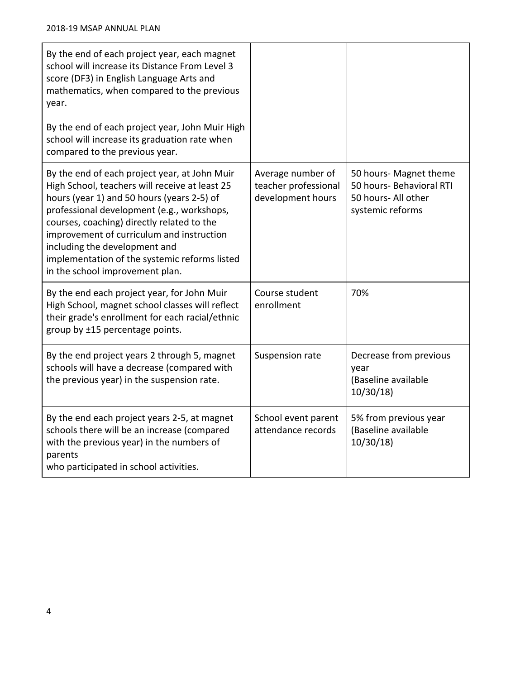| By the end of each project year, each magnet<br>school will increase its Distance From Level 3<br>score (DF3) in English Language Arts and<br>mathematics, when compared to the previous<br>year.<br>By the end of each project year, John Muir High<br>school will increase its graduation rate when<br>compared to the previous year.                                                                     |                                                                |                                                                                               |
|-------------------------------------------------------------------------------------------------------------------------------------------------------------------------------------------------------------------------------------------------------------------------------------------------------------------------------------------------------------------------------------------------------------|----------------------------------------------------------------|-----------------------------------------------------------------------------------------------|
| By the end of each project year, at John Muir<br>High School, teachers will receive at least 25<br>hours (year 1) and 50 hours (years 2-5) of<br>professional development (e.g., workshops,<br>courses, coaching) directly related to the<br>improvement of curriculum and instruction<br>including the development and<br>implementation of the systemic reforms listed<br>in the school improvement plan. | Average number of<br>teacher professional<br>development hours | 50 hours- Magnet theme<br>50 hours- Behavioral RTI<br>50 hours- All other<br>systemic reforms |
| By the end each project year, for John Muir<br>High School, magnet school classes will reflect<br>their grade's enrollment for each racial/ethnic<br>group by ±15 percentage points.                                                                                                                                                                                                                        | Course student<br>enrollment                                   | 70%                                                                                           |
| By the end project years 2 through 5, magnet<br>schools will have a decrease (compared with<br>the previous year) in the suspension rate.                                                                                                                                                                                                                                                                   | Suspension rate                                                | Decrease from previous<br>year<br>(Baseline available<br>10/30/18                             |
| By the end each project years 2-5, at magnet<br>schools there will be an increase (compared<br>with the previous year) in the numbers of<br>parents<br>who participated in school activities.                                                                                                                                                                                                               | School event parent<br>attendance records                      | 5% from previous year<br>(Baseline available<br>10/30/18                                      |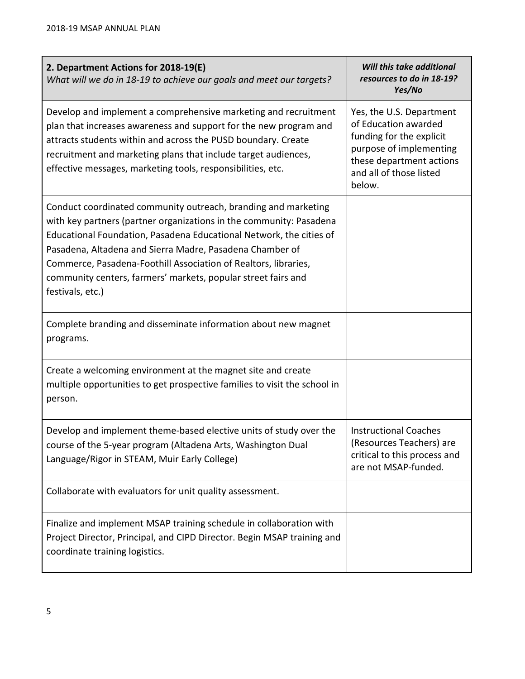| 2. Department Actions for 2018-19(E)<br>What will we do in 18-19 to achieve our goals and meet our targets?                                                                                                                                                                                                                                                                                                                      | Will this take additional<br>resources to do in 18-19?<br>Yes/No                                                                                                         |
|----------------------------------------------------------------------------------------------------------------------------------------------------------------------------------------------------------------------------------------------------------------------------------------------------------------------------------------------------------------------------------------------------------------------------------|--------------------------------------------------------------------------------------------------------------------------------------------------------------------------|
| Develop and implement a comprehensive marketing and recruitment<br>plan that increases awareness and support for the new program and<br>attracts students within and across the PUSD boundary. Create<br>recruitment and marketing plans that include target audiences,<br>effective messages, marketing tools, responsibilities, etc.                                                                                           | Yes, the U.S. Department<br>of Education awarded<br>funding for the explicit<br>purpose of implementing<br>these department actions<br>and all of those listed<br>below. |
| Conduct coordinated community outreach, branding and marketing<br>with key partners (partner organizations in the community: Pasadena<br>Educational Foundation, Pasadena Educational Network, the cities of<br>Pasadena, Altadena and Sierra Madre, Pasadena Chamber of<br>Commerce, Pasadena-Foothill Association of Realtors, libraries,<br>community centers, farmers' markets, popular street fairs and<br>festivals, etc.) |                                                                                                                                                                          |
| Complete branding and disseminate information about new magnet<br>programs.                                                                                                                                                                                                                                                                                                                                                      |                                                                                                                                                                          |
| Create a welcoming environment at the magnet site and create<br>multiple opportunities to get prospective families to visit the school in<br>person.                                                                                                                                                                                                                                                                             |                                                                                                                                                                          |
| Develop and implement theme-based elective units of study over the<br>course of the 5-year program (Altadena Arts, Washington Dual<br>Language/Rigor in STEAM, Muir Early College)                                                                                                                                                                                                                                               | <b>Instructional Coaches</b><br>(Resources Teachers) are<br>critical to this process and<br>are not MSAP-funded.                                                         |
| Collaborate with evaluators for unit quality assessment.                                                                                                                                                                                                                                                                                                                                                                         |                                                                                                                                                                          |
| Finalize and implement MSAP training schedule in collaboration with<br>Project Director, Principal, and CIPD Director. Begin MSAP training and<br>coordinate training logistics.                                                                                                                                                                                                                                                 |                                                                                                                                                                          |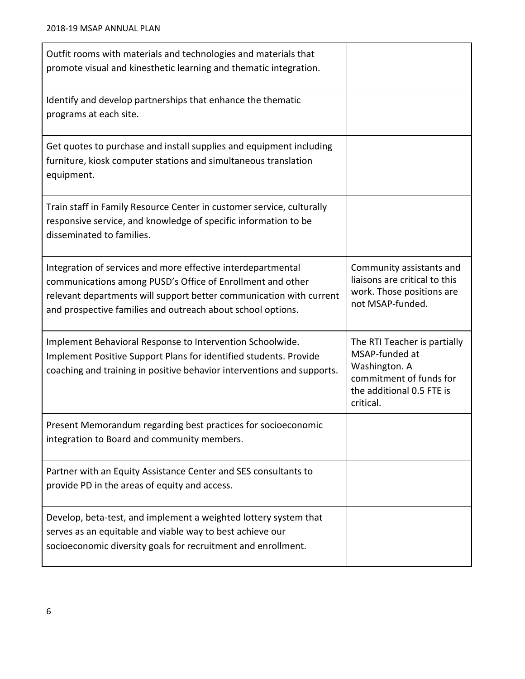| Outfit rooms with materials and technologies and materials that<br>promote visual and kinesthetic learning and thematic integration.                                                                                                                             |                                                                                                                                      |
|------------------------------------------------------------------------------------------------------------------------------------------------------------------------------------------------------------------------------------------------------------------|--------------------------------------------------------------------------------------------------------------------------------------|
| Identify and develop partnerships that enhance the thematic<br>programs at each site.                                                                                                                                                                            |                                                                                                                                      |
| Get quotes to purchase and install supplies and equipment including<br>furniture, kiosk computer stations and simultaneous translation<br>equipment.                                                                                                             |                                                                                                                                      |
| Train staff in Family Resource Center in customer service, culturally<br>responsive service, and knowledge of specific information to be<br>disseminated to families.                                                                                            |                                                                                                                                      |
| Integration of services and more effective interdepartmental<br>communications among PUSD's Office of Enrollment and other<br>relevant departments will support better communication with current<br>and prospective families and outreach about school options. | Community assistants and<br>liaisons are critical to this<br>work. Those positions are<br>not MSAP-funded.                           |
| Implement Behavioral Response to Intervention Schoolwide.<br>Implement Positive Support Plans for identified students. Provide<br>coaching and training in positive behavior interventions and supports.                                                         | The RTI Teacher is partially<br>MSAP-funded at<br>Washington. A<br>commitment of funds for<br>the additional 0.5 FTE is<br>critical. |
| Present Memorandum regarding best practices for socioeconomic<br>integration to Board and community members.                                                                                                                                                     |                                                                                                                                      |
| Partner with an Equity Assistance Center and SES consultants to<br>provide PD in the areas of equity and access.                                                                                                                                                 |                                                                                                                                      |
| Develop, beta-test, and implement a weighted lottery system that<br>serves as an equitable and viable way to best achieve our<br>socioeconomic diversity goals for recruitment and enrollment.                                                                   |                                                                                                                                      |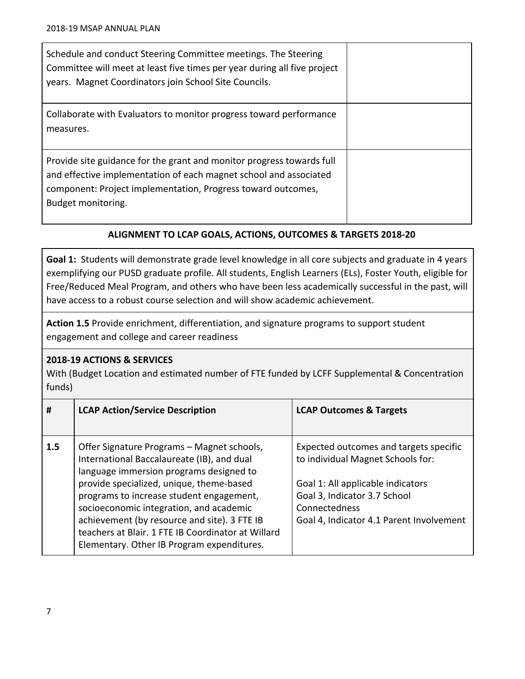| Schedule and conduct Steering Committee meetings. The Steering<br>Committee will meet at least five times per year during all five project<br>years. Magnet Coordinators join School Site Councils.                              |  |
|----------------------------------------------------------------------------------------------------------------------------------------------------------------------------------------------------------------------------------|--|
| Collaborate with Evaluators to monitor progress toward performance<br>measures.                                                                                                                                                  |  |
| Provide site guidance for the grant and monitor progress towards full<br>and effective implementation of each magnet school and associated<br>component: Project implementation, Progress toward outcomes,<br>Budget monitoring. |  |

## **ALIGNMENT TO LCAP GOALS, ACTIONS, OUTCOMES & TARGETS 2018-20**

**Goal 1:** Students will demonstrate grade level knowledge in all core subjects and graduate in 4 years exemplifying our PUSD graduate profile. All students, English Learners (ELs), Foster Youth, eligible for Free/Reduced Meal Program, and others who have been less academically successful in the past, will have access to a robust course selection and will show academic achievement.

**Action 1.5** Provide enrichment, differentiation, and signature programs to support student engagement and college and career readiness

### **2018-19 ACTIONS & SERVICES**

With (Budget Location and estimated number of FTE funded by LCFF Supplemental & Concentration funds)

| #   | <b>LCAP Action/Service Description</b>                                                                                                                                                                                                                                                                                                                                                                                     | <b>LCAP Outcomes &amp; Targets</b>                                                                                                                                                                            |
|-----|----------------------------------------------------------------------------------------------------------------------------------------------------------------------------------------------------------------------------------------------------------------------------------------------------------------------------------------------------------------------------------------------------------------------------|---------------------------------------------------------------------------------------------------------------------------------------------------------------------------------------------------------------|
| 1.5 | Offer Signature Programs – Magnet schools,<br>International Baccalaureate (IB), and dual<br>language immersion programs designed to<br>provide specialized, unique, theme-based<br>programs to increase student engagement,<br>socioeconomic integration, and academic<br>achievement (by resource and site). 3 FTE IB<br>teachers at Blair, 1 FTE IB Coordinator at Willard<br>Elementary. Other IB Program expenditures. | Expected outcomes and targets specific<br>to individual Magnet Schools for:<br>Goal 1: All applicable indicators<br>Goal 3, Indicator 3.7 School<br>Connectedness<br>Goal 4, Indicator 4.1 Parent Involvement |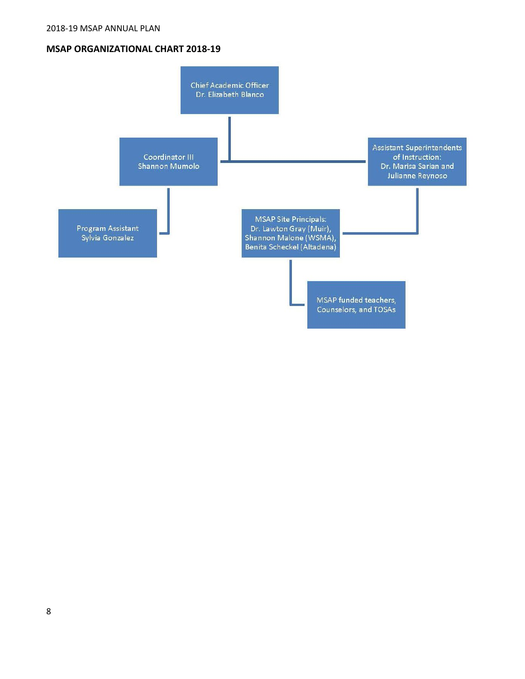#### **MSAP ORGANIZATIONAL CHART 2018-19**